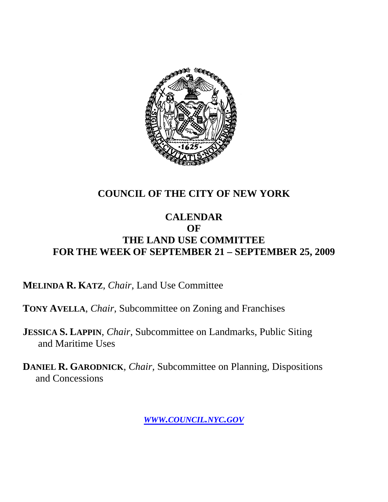

### **COUNCIL OF THE CITY OF NEW YORK**

#### **CALENDAR OF THE LAND USE COMMITTEE FOR THE WEEK OF SEPTEMBER 21 – SEPTEMBER 25, 2009**

**MELINDA R. KATZ**, *Chair*, Land Use Committee

**TONY AVELLA**, *Chair*, Subcommittee on Zoning and Franchises

**JESSICA S. LAPPIN**, *Chair*, Subcommittee on Landmarks, Public Siting and Maritime Uses

**DANIEL R. GARODNICK**, *Chair,* Subcommittee on Planning, Dispositions and Concessions

*WWW.COUNCIL.NYC.GOV*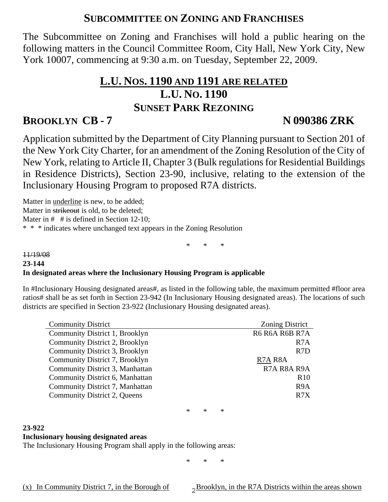#### **SUBCOMMITTEE ON ZONING AND FRANCHISES**

The Subcommittee on Zoning and Franchises will hold a public hearing on the following matters in the Council Committee Room, City Hall, New York City, New York 10007, commencing at 9:30 a.m. on Tuesday, September 22, 2009.

# **L.U. NOS. 1190 AND 1191 ARE RELATED L.U. NO. 1190 SUNSET PARK REZONING**

#### **BROOKLYN CB - 7 N 090386 ZRK**

Application submitted by the Department of City Planning pursuant to Section 201 of the New York City Charter, for an amendment of the Zoning Resolution of the City of New York, relating to Article II, Chapter 3 (Bulk regulations for Residential Buildings in Residence Districts), Section 23-90, inclusive, relating to the extension of the Inclusionary Housing Program to proposed R7A districts.

Matter in underline is new, to be added; Matter in strikeout is old, to be deleted: Mater in # # is defined in Section 12-10:

\* \* \* indicates where unchanged text appears in the Zoning Resolution

\* \* \*

#### 11/19/08 **23-144 In designated areas where the Inclusionary Housing Program is applicable**

In #Inclusionary Housing designated areas#, as listed in the following table, the maximum permitted #floor area ratios# shall be as set forth in Section 23-942 (In Inclusionary Housing designated areas). The locations of such districts are specified in Section 23-922 (Inclusionary Housing designated areas).

| <b>Community District</b>       | <b>Zoning District</b> |
|---------------------------------|------------------------|
| Community District 1, Brooklyn  | R6 R6A R6B R7A         |
| Community District 2, Brooklyn  | R <sub>7</sub> A       |
| Community District 3, Brooklyn  | R <sub>7</sub> D       |
| Community District 7, Brooklyn  | R7A R8A                |
| Community District 3, Manhattan | R7A R8A R9A            |
| Community District 6, Manhattan | R <sub>10</sub>        |
| Community District 7, Manhattan | R <sub>9</sub> A       |
| Community District 2, Queens    | R <sub>7</sub> X       |
|                                 |                        |

\* \* \*

#### **23-922**

#### **Inclusionary housing designated areas**

The Inclusionary Housing Program shall apply in the following areas:

\* \* \*

(x) In Community District 7, in the Borough of  $2^{Brooklyn}$ , in the R7A Districts within the areas shown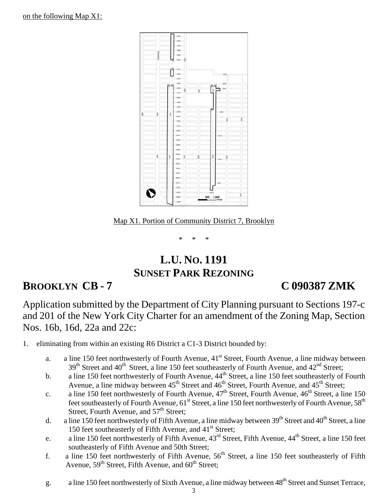

Map X1. Portion of Community District 7, Brooklyn

\* \* \*

# **L.U. NO. 1191 SUNSET PARK REZONING**

### **BROOKLYN CB - 7 C 090387 ZMK**

Application submitted by the Department of City Planning pursuant to Sections 197-c and 201 of the New York City Charter for an amendment of the Zoning Map, Section Nos. 16b, 16d, 22a and 22c:

1. eliminating from within an existing R6 District a C1-3 District bounded by:

- a. a line 150 feet northwesterly of Fourth Avenue, 41<sup>st</sup> Street, Fourth Avenue, a line midway between 39<sup>th</sup> Street and 40<sup>th</sup> Street, a line 150 feet southeasterly of Fourth Avenue, and 42<sup>nd</sup> Street;
- b. a line 150 feet northwesterly of Fourth Avenue,  $44<sup>th</sup>$  Street, a line 150 feet southeasterly of Fourth Avenue, a line midway between  $45<sup>th</sup>$  Street and  $46<sup>th</sup>$  Street, Fourth Avenue, and  $45<sup>th</sup>$  Street;
- c. a line 150 feet northwesterly of Fourth Avenue,  $47<sup>th</sup>$  Street, Fourth Avenue,  $46<sup>th</sup>$  Street, a line 150 feet southeasterly of Fourth Avenue,  $61<sup>st</sup>$  Street, a line 150 feet northwesterly of Fourth Avenue,  $58<sup>th</sup>$ Street, Fourth Avenue, and  $57<sup>th</sup>$  Street;
- d. a line 150 feet northwesterly of Fifth Avenue, a line midway between 39<sup>th</sup> Street and 40<sup>th</sup> Street, a line 150 feet southeasterly of Fifth Avenue, and  $41<sup>st</sup>$  Street;
- e. a line 150 feet northwesterly of Fifth Avenue,  $43^{\text{rd}}$  Street, Fifth Avenue,  $44^{\text{th}}$  Street, a line 150 feet southeasterly of Fifth Avenue and 50th Street;
- f. a line 150 feet northwesterly of Fifth Avenue,  $56<sup>th</sup>$  Street, a line 150 feet southeasterly of Fifth Avenue,  $59<sup>th</sup>$  Street, Fifth Avenue, and  $60<sup>th</sup>$  Street;
- g. a line 150 feet northwesterly of Sixth Avenue, a line midway between 48<sup>th</sup> Street and Sunset Terrace,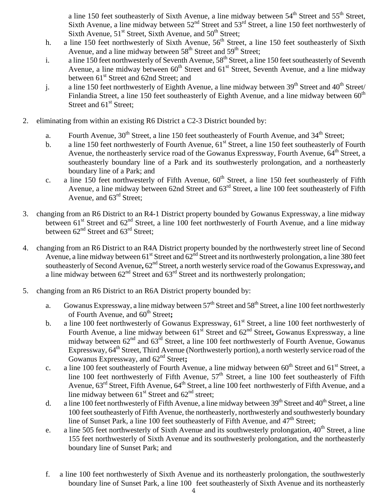a line 150 feet southeasterly of Sixth Avenue, a line midway between  $54<sup>th</sup>$  Street and  $55<sup>th</sup>$  Street, Sixth Avenue, a line midway between  $52<sup>nd</sup>$  Street and  $53<sup>rd</sup>$  Street, a line 150 feet northwesterly of Sixth Avenue,  $51<sup>st</sup>$  Street, Sixth Avenue, and  $50<sup>th</sup>$  Street;

- h. a line 150 feet northwesterly of Sixth Avenue, 56<sup>th</sup> Street, a line 150 feet southeasterly of Sixth Avenue, and a line midway between 58<sup>th</sup> Street and 59<sup>th</sup> Street;
- i. a line 150 feet northwesterly of Seventh Avenue, 58<sup>th</sup> Street, a line 150 feet southeasterly of Seventh Avenue, a line midway between  $60^{th}$  Street and  $61^{st}$  Street, Seventh Avenue, and a line midway between 61<sup>st</sup> Street and 62nd Street; and
- j. a line 150 feet northwesterly of Eighth Avenue, a line midway between  $39<sup>th</sup>$  Street and  $40<sup>th</sup>$  Street/ Finlandia Street, a line 150 feet southeasterly of Eighth Avenue, and a line midway between  $60<sup>th</sup>$ Street and  $61<sup>st</sup>$  Street;
- 2. eliminating from within an existing R6 District a C2-3 District bounded by:
	- a. Fourth Avenue, 30<sup>th</sup> Street, a line 150 feet southeasterly of Fourth Avenue, and 34<sup>th</sup> Street;
	- b. a line 150 feet northwesterly of Fourth Avenue,  $61<sup>st</sup>$  Street, a line 150 feet southeasterly of Fourth Avenue, the northeasterly service road of the Gowanus Expressway, Fourth Avenue, 64<sup>th</sup> Street, a southeasterly boundary line of a Park and its southwesterly prolongation, and a northeasterly boundary line of a Park; and
	- c. a line 150 feet northwesterly of Fifth Avenue,  $60<sup>th</sup>$  Street, a line 150 feet southeasterly of Fifth Avenue, a line midway between 62nd Street and 63<sup>rd</sup> Street, a line 100 feet southeasterly of Fifth Avenue, and  $63<sup>rd</sup>$  Street;
- 3. changing from an R6 District to an R4-1 District property bounded by Gowanus Expressway, a line midway between 61<sup>st</sup> Street and 62<sup>nd</sup> Street, a line 100 feet northwesterly of Fourth Avenue, and a line midway between  $62<sup>nd</sup>$  Street and  $63<sup>rd</sup>$  Street;
- 4. changing from an R6 District to an R4A District property bounded by the northwesterly street line of Second Avenue, a line midway between  $61^{st}$  Street and  $62^{nd}$  Street and its northwesterly prolongation, a line 380 feet southeasterly of Second Avenue,  $62<sup>nd</sup>$  Street, a north westerly service road of the Gowanus Expressway, and a line midway between  $62<sup>nd</sup>$  Street and  $63<sup>rd</sup>$  Street and its northwesterly prolongation;
- 5. changing from an R6 District to an R6A District property bounded by:
	- a. Gowanus Expressway, a line midway between  $57<sup>th</sup>$  Street and  $58<sup>th</sup>$  Street, a line 100 feet northwesterly of Fourth Avenue, and  $60^{\text{th}}$  Street;
	- b. a line 100 feet northwesterly of Gowanus Expressway, 61<sup>st</sup> Street, a line 100 feet northwesterly of Fourth Avenue, a line midway between  $61^{\text{st}}$  Street and  $62^{\text{nd}}$  Street, Gowanus Expressway, a line midway between  $62<sup>nd</sup>$  and  $63<sup>rd</sup>$  Street, a line 100 feet northwesterly of Fourth Avenue, Gowanus Expressway,  $64<sup>th</sup>$  Street, Third Avenue (Northwesterly portion), a north westerly service road of the Gowanus Expressway, and  $62<sup>nd</sup>$  Street;
	- c. a line 100 feet southeasterly of Fourth Avenue, a line midway between 60<sup>th</sup> Street and 61<sup>st</sup> Street, a line 100 feet northwesterly of Fifth Avenue,  $57<sup>th</sup>$  Street, a line 100 feet southeasterly of Fifth Avenue,  $63^{rd}$  Street, Fifth Avenue,  $64^{th}$  Street, a line 100 feet northwesterly of Fifth Avenue, and a line midway between  $61<sup>st</sup>$  Street and  $62<sup>nd</sup>$  street;
	- d. a line 100 feet northwesterly of Fifth Avenue, a line midway between  $39<sup>th</sup>$  Street and  $40<sup>th</sup>$  Street, a line 100 feet southeasterly of Fifth Avenue, the northeasterly, northwesterly and southwesterly boundary line of Sunset Park, a line 100 feet southeasterly of Fifth Avenue, and  $47<sup>th</sup>$  Street;
	- e. a line 505 feet northwesterly of Sixth Avenue and its southwesterly prolongation,  $40^{th}$  Street, a line 155 feet northwesterly of Sixth Avenue and its southwesterly prolongation, and the northeasterly boundary line of Sunset Park; and
	- f. a line 100 feet northwesterly of Sixth Avenue and its northeasterly prolongation, the southwesterly boundary line of Sunset Park, a line 100 feet southeasterly of Sixth Avenue and its northeasterly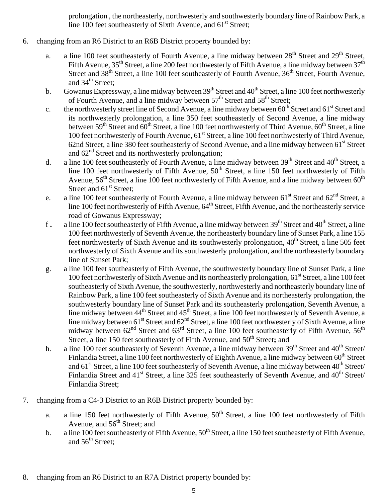prolongation , the northeasterly, northwesterly and southwesterly boundary line of Rainbow Park, a line 100 feet southeasterly of Sixth Avenue, and  $61<sup>st</sup>$  Street;

- 6. changing from an R6 District to an R6B District property bounded by:
	- a. a line 100 feet southeasterly of Fourth Avenue, a line midway between 28<sup>th</sup> Street and 29<sup>th</sup> Street, Fifth Avenue,  $35^{th}$  Street, a line 200 feet northwesterly of Fifth Avenue, a line midway between  $37^{th}$ Street and 38<sup>th</sup> Street, a line 100 feet southeasterly of Fourth Avenue, 36<sup>th</sup> Street, Fourth Avenue, and  $34<sup>th</sup>$  Street;
	- b. Gowanus Expressway, a line midway between  $39<sup>th</sup>$  Street and  $40<sup>th</sup>$  Street, a line 100 feet northwesterly of Fourth Avenue, and a line midway between 57<sup>th</sup> Street and 58<sup>th</sup> Street;
	- c. the northwesterly street line of Second Avenue, a line midway between  $60^{th}$  Street and  $61^{st}$  Street and its northwesterly prolongation, a line 350 feet southeasterly of Second Avenue, a line midway between  $59<sup>th</sup>$  Street and  $60<sup>th</sup>$  Street, a line 100 feet northwesterly of Third Avenue,  $60<sup>th</sup>$  Street, a line 100 feet northwesterly of Fourth Avenue, 61<sup>st</sup> Street, a line 100 feet northwesterly of Third Avenue, 62nd Street, a line 380 feet southeasterly of Second Avenue, and a line midway between 61<sup>st</sup> Street and  $62<sup>nd</sup>$  Street and its northwesterly prolongation;
	- d. a line 100 feet southeasterly of Fourth Avenue, a line midway between  $39<sup>th</sup>$  Street and  $40<sup>th</sup>$  Street, a line 100 feet northwesterly of Fifth Avenue,  $50<sup>th</sup>$  Street, a line 150 feet northwesterly of Fifth Avenue,  $56<sup>th</sup>$  Street, a line 100 feet northwesterly of Fifth Avenue, and a line midway between  $60<sup>th</sup>$ Street and  $61<sup>st</sup>$  Street;
	- e. a line 100 feet southeasterly of Fourth Avenue, a line midway between  $61<sup>st</sup>$  Street and  $62<sup>nd</sup>$  Street, a line 100 feet northwesterly of Fifth Avenue,  $64^{\text{th}}$  Street, Fifth Avenue, and the northeasterly service road of Gowanus Expressway;
	- f. a line 100 feet southeasterly of Fifth Avenue, a line midway between 39<sup>th</sup> Street and 40<sup>th</sup> Street, a line 100 feet northwesterly of Seventh Avenue, the northeasterly boundary line of Sunset Park, a line 155 feet northwesterly of Sixth Avenue and its southwesterly prolongation,  $40<sup>th</sup>$  Street, a line 505 feet northwesterly of Sixth Avenue and its southwesterly prolongation, and the northeasterly boundary line of Sunset Park;
	- g. a line 100 feet southeasterly of Fifth Avenue, the southwesterly boundary line of Sunset Park, a line 100 feet northwesterly of Sixth Avenue and its northeasterly prolongation, 61<sup>st</sup> Street, a line 100 feet southeasterly of Sixth Avenue, the southwesterly, northwesterly and northeasterly boundary line of Rainbow Park, a line 100 feet southeasterly of Sixth Avenue and its northeasterly prolongation, the southwesterly boundary line of Sunset Park and its southeasterly prolongation, Seventh Avenue, a line midway between 44<sup>th</sup> Street and 45<sup>th</sup> Street, a line 100 feet northwesterly of Seventh Avenue, a line midway between  $61^{\text{st}}$  Street and  $62^{\text{nd}}$  Street, a line 100 feet northwesterly of Sixth Avenue, a line midway between  $62<sup>nd</sup>$  Street and  $63<sup>rd</sup>$  Street, a line 100 feet southeasterly of Fifth Avenue,  $56<sup>th</sup>$ Street, a line 150 feet southeasterly of Fifth Avenue, and 50<sup>th</sup> Street; and
	- h. a line 100 feet southeasterly of Seventh Avenue, a line midway between  $39<sup>th</sup>$  Street and  $40<sup>th</sup>$  Street/ Finlandia Street, a line 100 feet northwesterly of Eighth Avenue, a line midway between 60<sup>th</sup> Street and  $61<sup>st</sup> Street$ , a line 100 feet southeasterly of Seventh Avenue, a line midway between  $40<sup>th</sup> Street/$ Finlandia Street and  $41<sup>st</sup>$  Street, a line 325 feet southeasterly of Seventh Avenue, and  $40<sup>th</sup>$  Street/ Finlandia Street;
- 7. changing from a C4-3 District to an R6B District property bounded by:
	- a. a line 150 feet northwesterly of Fifth Avenue,  $50<sup>th</sup>$  Street, a line 100 feet northwesterly of Fifth Avenue, and  $56<sup>th</sup>$  Street; and
	- b. a line 100 feet southeasterly of Fifth Avenue,  $50^{th}$  Street, a line 150 feet southeasterly of Fifth Avenue, and  $56<sup>th</sup>$  Street;
- 8. changing from an R6 District to an R7A District property bounded by: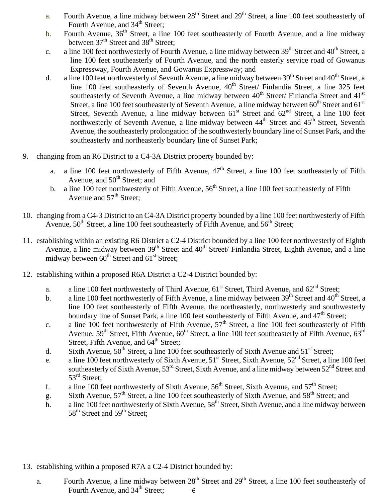- a. Fourth Avenue, a line midway between 28<sup>th</sup> Street and 29<sup>th</sup> Street, a line 100 feet southeasterly of Fourth Avenue, and  $34<sup>th</sup>$  Street;
- b. Fourth Avenue, 36<sup>th</sup> Street, a line 100 feet southeasterly of Fourth Avenue, and a line midway between  $37<sup>th</sup>$  Street and  $38<sup>th</sup>$  Street:
- c. a line 100 feet northwesterly of Fourth Avenue, a line midway between  $39<sup>th</sup>$  Street and  $40<sup>th</sup>$  Street, a line 100 feet southeasterly of Fourth Avenue, and the north easterly service road of Gowanus Expressway, Fourth Avenue, and Gowanus Expressway; and
- d. a line 100 feet northwesterly of Seventh Avenue, a line midway between  $39<sup>th</sup>$  Street and  $40<sup>th</sup>$  Street, a line 100 feet southeasterly of Seventh Avenue, 40<sup>th</sup> Street/ Finlandia Street, a line 325 feet southeasterly of Seventh Avenue, a line midway between 40<sup>th</sup> Street/ Finlandia Street and 41<sup>st</sup> Street, a line 100 feet southeasterly of Seventh Avenue, a line midway between 60<sup>th</sup> Street and 61<sup>st</sup> Street, Seventh Avenue, a line midway between  $61<sup>st</sup>$  Street and  $62<sup>nd</sup>$  Street, a line 100 feet northwesterly of Seventh Avenue, a line midway between 44<sup>th</sup> Street and 45<sup>th</sup> Street, Seventh Avenue, the southeasterly prolongation of the southwesterly boundary line of Sunset Park, and the southeasterly and northeasterly boundary line of Sunset Park;
- 9. changing from an R6 District to a C4-3A District property bounded by:
	- a. a line 100 feet northwesterly of Fifth Avenue,  $47<sup>th</sup>$  Street, a line 100 feet southeasterly of Fifth Avenue, and  $50<sup>th</sup>$  Street; and
	- b. a line 100 feet northwesterly of Fifth Avenue,  $56<sup>th</sup>$  Street, a line 100 feet southeasterly of Fifth Avenue and 57<sup>th</sup> Street;
- 10. changing from a C4-3 District to an C4-3A District property bounded by a line 100 feet northwesterly of Fifth Avenue,  $50^{th}$  Street, a line 100 feet southeasterly of Fifth Avenue, and  $56^{th}$  Street;
- 11. establishing within an existing R6 District a C2-4 District bounded by a line 100 feet northwesterly of Eighth Avenue, a line midway between 39<sup>th</sup> Street and 40<sup>th</sup> Street/ Finlandia Street, Eighth Avenue, and a line midway between  $60^{th}$  Street and  $61^{st}$  Street;
- 12. establishing within a proposed R6A District a C2-4 District bounded by:
	- a. a line 100 feet northwesterly of Third Avenue,  $61<sup>st</sup>$  Street, Third Avenue, and  $62<sup>nd</sup>$  Street;
	- b. a line 100 feet northwesterly of Fifth Avenue, a line midway between  $39<sup>th</sup>$  Street and  $40<sup>th</sup>$  Street, a line 100 feet southeasterly of Fifth Avenue, the northeasterly, northwesterly and southwesterly boundary line of Sunset Park, a line 100 feet southeasterly of Fifth Avenue, and 47<sup>th</sup> Street;
	- c. a line 100 feet northwesterly of Fifth Avenue,  $57<sup>th</sup>$  Street, a line 100 feet southeasterly of Fifth Avenue,  $59<sup>th</sup>$  Street, Fifth Avenue,  $60<sup>th</sup>$  Street, a line 100 feet southeasterly of Fifth Avenue,  $63<sup>rd</sup>$ Street, Fifth Avenue, and  $64^{\text{th}}$  Street;
	- d. Sixth Avenue,  $50^{th}$  Street, a line 100 feet southeasterly of Sixth Avenue and  $51^{st}$  Street;
	- e. a line 100 feet northwesterly of Sixth Avenue, 51<sup>st</sup> Street, Sixth Avenue, 52<sup>nd</sup> Street, a line 100 feet southeasterly of Sixth Avenue,  $53<sup>rd</sup>$  Street, Sixth Avenue, and a line midway between  $52<sup>nd</sup>$  Street and 53<sup>rd</sup> Street:
	- f. a line 100 feet northwesterly of Sixth Avenue,  $56<sup>th</sup>$  Street, Sixth Avenue, and  $57<sup>th</sup>$  Street;
	- g. Sixth Avenue,  $57<sup>th</sup>$  Street, a line 100 feet southeasterly of Sixth Avenue, and  $58<sup>th</sup>$  Street; and
	- h. a line 100 feet northwesterly of Sixth Avenue, 58<sup>th</sup> Street, Sixth Avenue, and a line midway between 58<sup>th</sup> Street and 59<sup>th</sup> Street;
- 13. establishing within a proposed R7A a C2-4 District bounded by:
	- 6 a. Fourth Avenue, a line midway between 28<sup>th</sup> Street and 29<sup>th</sup> Street, a line 100 feet southeasterly of Fourth Avenue, and 34<sup>th</sup> Street;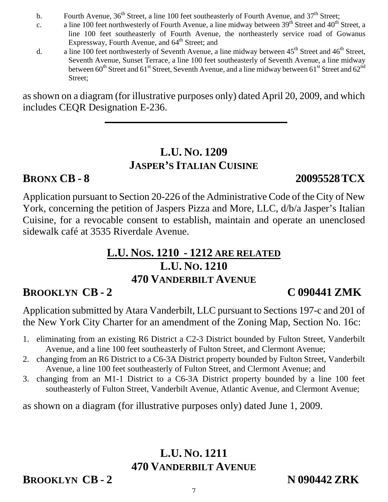- b. Fourth Avenue,  $36<sup>th</sup>$  Street, a line 100 feet southeasterly of Fourth Avenue, and  $37<sup>th</sup>$  Street;
- c. a line 100 feet northwesterly of Fourth Avenue, a line midway between  $39<sup>th</sup>$  Street and  $40<sup>th</sup>$  Street, a line 100 feet southeasterly of Fourth Avenue, the northeasterly service road of Gowanus Expressway, Fourth Avenue, and 64<sup>th</sup> Street; and
- d. a line 100 feet northwesterly of Seventh Avenue, a line midway between 45<sup>th</sup> Street and 46<sup>th</sup> Street, Seventh Avenue, Sunset Terrace, a line 100 feet southeasterly of Seventh Avenue, a line midway between  $60^{th}$  Street and  $61^{st}$  Street, Seventh Avenue, and a line midway between  $61^{st}$  Street and  $62^{nd}$ Street;

as shown on a diagram (for illustrative purposes only) dated April 20, 2009, and which includes CEQR Designation E-236.

# **L.U. NO. 1209 JASPER'S ITALIAN CUISINE**

## **BRONX CB - 8 20095528TCX**

Application pursuant to Section 20-226 of the Administrative Code of the City of New York, concerning the petition of Jaspers Pizza and More, LLC, d/b/a Jasper's Italian Cuisine, for a revocable consent to establish, maintain and operate an unenclosed sidewalk café at 3535 Riverdale Avenue.

# **L.U. NOS. 1210 - 1212 ARE RELATED L.U. NO. 1210 470 VANDERBILT AVENUE**

# **BROOKLYN CB - 2 C 090441 ZMK**

Application submitted by Atara Vanderbilt, LLC pursuant to Sections 197-c and 201 of the New York City Charter for an amendment of the Zoning Map, Section No. 16c:

- 1. eliminating from an existing R6 District a C2-3 District bounded by Fulton Street, Vanderbilt Avenue, and a line 100 feet southeasterly of Fulton Street, and Clermont Avenue;
- 2. changing from an R6 District to a C6-3A District property bounded by Fulton Street, Vanderbilt Avenue, a line 100 feet southeasterly of Fulton Street, and Clermont Avenue; and
- 3. changing from an M1-1 District to a C6-3A District property bounded by a line 100 feet southeasterly of Fulton Street, Vanderbilt Avenue, Atlantic Avenue, and Clermont Avenue;

as shown on a diagram (for illustrative purposes only) dated June 1, 2009.

# **L.U. NO. 1211 470 VANDERBILT AVENUE**

**BROOKLYN CB - 2** N 090442 **ZRK**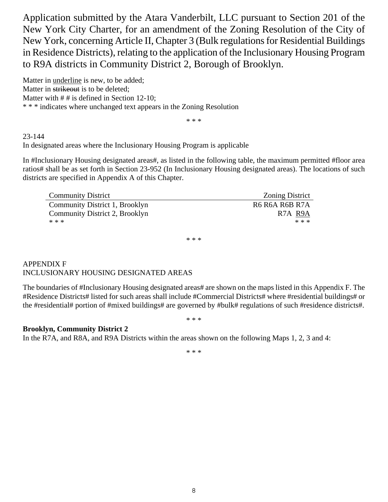Application submitted by the Atara Vanderbilt, LLC pursuant to Section 201 of the New York City Charter, for an amendment of the Zoning Resolution of the City of New York, concerning Article II, Chapter 3 (Bulk regulations for Residential Buildings in Residence Districts), relating to the application of the Inclusionary Housing Program to R9A districts in Community District 2, Borough of Brooklyn.

Matter in underline is new, to be added; Matter in strikeout is to be deleted; Matter with  $# #$  is defined in Section 12-10; \* \* \* indicates where unchanged text appears in the Zoning Resolution

\* \* \*

#### 23-144

In designated areas where the Inclusionary Housing Program is applicable

In #Inclusionary Housing designated areas#, as listed in the following table, the maximum permitted #floor area ratios# shall be as set forth in Section 23-952 (In Inclusionary Housing designated areas). The locations of such districts are specified in Appendix A of this Chapter.

| <b>Community District</b>      | <b>Zoning District</b>            |
|--------------------------------|-----------------------------------|
| Community District 1, Brooklyn | R6 R6A R6B R7A                    |
| Community District 2, Brooklyn | R <sub>7</sub> A R <sub>9</sub> A |
| * * *                          | * * *                             |

\* \* \*

#### APPENDIX F INCLUSIONARY HOUSING DESIGNATED AREAS

The boundaries of #Inclusionary Housing designated areas# are shown on the maps listed in this Appendix F. The #Residence Districts# listed for such areas shall include #Commercial Districts# where #residential buildings# or the #residential# portion of #mixed buildings# are governed by #bulk# regulations of such #residence districts#.

\* \* \*

#### **Brooklyn, Community District 2**

In the R7A, and R8A, and R9A Districts within the areas shown on the following Maps 1, 2, 3 and 4:

\* \* \*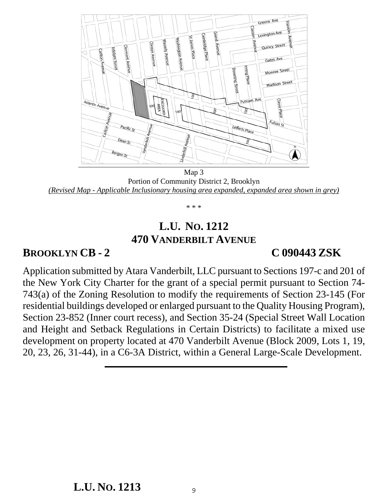

Map 3 Portion of Community District 2, Brooklyn *(Revised Map - Applicable Inclusionary housing area expanded, expanded area shown in grey)*

\* \* \*

### **L.U. NO. 1212 470 VANDERBILT AVENUE**

#### **BROOKLYN CB - 2 C 090443 ZSK**

Application submitted by Atara Vanderbilt, LLC pursuant to Sections 197-c and 201 of the New York City Charter for the grant of a special permit pursuant to Section 74- 743(a) of the Zoning Resolution to modify the requirements of Section 23-145 (For residential buildings developed or enlarged pursuant to the Quality Housing Program), Section 23-852 (Inner court recess), and Section 35-24 (Special Street Wall Location and Height and Setback Regulations in Certain Districts) to facilitate a mixed use development on property located at 470 Vanderbilt Avenue (Block 2009, Lots 1, 19, 20, 23, 26, 31-44), in a C6-3A District, within a General Large-Scale Development.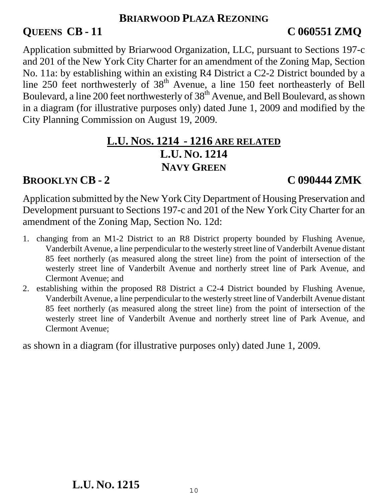#### **BRIARWOOD PLAZA REZONING**

## **QUEENS CB - 11 C 060551 ZMQ**

Application submitted by Briarwood Organization, LLC, pursuant to Sections 197-c and 201 of the New York City Charter for an amendment of the Zoning Map, Section No. 11a: by establishing within an existing R4 District a C2-2 District bounded by a line 250 feet northwesterly of 38<sup>th</sup> Avenue, a line 150 feet northeasterly of Bell Boulevard, a line 200 feet northwesterly of 38<sup>th</sup> Avenue, and Bell Boulevard, as shown in a diagram (for illustrative purposes only) dated June 1, 2009 and modified by the City Planning Commission on August 19, 2009.

### **L.U. NOS. 1214 - 1216 ARE RELATED L.U. NO. 1214 NAVY GREEN**

## **BROOKLYN CB - 2 C 090444 ZMK**

Application submitted by the New York City Department of Housing Preservation and Development pursuant to Sections 197-c and 201 of the New York City Charter for an amendment of the Zoning Map, Section No. 12d:

- 1. changing from an M1-2 District to an R8 District property bounded by Flushing Avenue, Vanderbilt Avenue, a line perpendicular to the westerly street line of Vanderbilt Avenue distant 85 feet northerly (as measured along the street line) from the point of intersection of the westerly street line of Vanderbilt Avenue and northerly street line of Park Avenue, and Clermont Avenue; and
- 2. establishing within the proposed R8 District a C2-4 District bounded by Flushing Avenue, Vanderbilt Avenue, a line perpendicular to the westerly street line of Vanderbilt Avenue distant 85 feet northerly (as measured along the street line) from the point of intersection of the westerly street line of Vanderbilt Avenue and northerly street line of Park Avenue, and Clermont Avenue;

as shown in a diagram (for illustrative purposes only) dated June 1, 2009.

## **L.U. NO. 1215**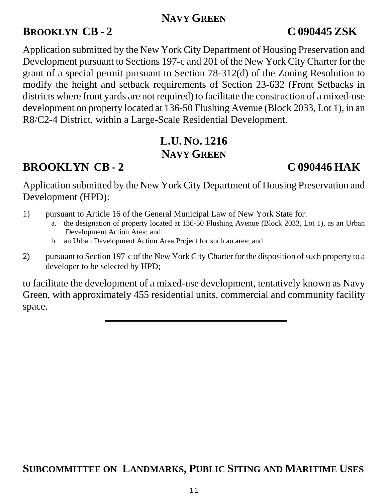#### **NAVY GREEN**

## **BROOKLYN CB - 2 C 090445 ZSK**

Application submitted by the New York City Department of Housing Preservation and Development pursuant to Sections 197-c and 201 of the New York City Charter for the grant of a special permit pursuant to Section 78-312(d) of the Zoning Resolution to modify the height and setback requirements of Section 23-632 (Front Setbacks in districts where front yards are not required) to facilitate the construction of a mixed-use development on property located at 136-50 Flushing Avenue (Block 2033, Lot 1), in an R8/C2-4 District, within a Large-Scale Residential Development.

# **L.U. NO. 1216 NAVY GREEN**

# **BROOKLYN CB - 2 C 090446 HAK**

Application submitted by the New York City Department of Housing Preservation and Development (HPD):

- 1) pursuant to Article 16 of the General Municipal Law of New York State for:
	- the designation of property located at 136-50 Flushing Avenue (Block 2033, Lot 1), as an Urban Development Action Area; and
	- b. an Urban Development Action Area Project for such an area; and
- 2) pursuant to Section 197-c of the New York City Charter for the disposition of such property to a developer to be selected by HPD;

to facilitate the development of a mixed-use development, tentatively known as Navy Green, with approximately 455 residential units, commercial and community facility space.

## **SUBCOMMITTEE ON LANDMARKS, PUBLIC SITING AND MARITIME USES**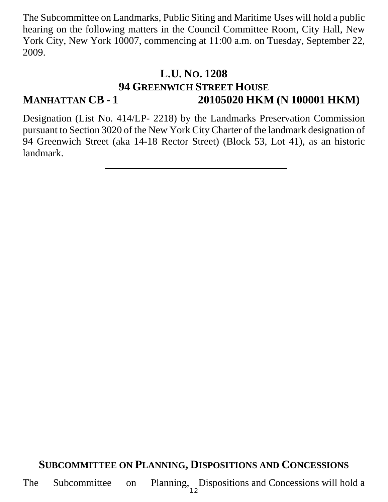The Subcommittee on Landmarks, Public Siting and Maritime Uses will hold a public hearing on the following matters in the Council Committee Room, City Hall, New York City, New York 10007, commencing at 11:00 a.m. on Tuesday, September 22, 2009.

### **L.U. NO. 1208 94 GREENWICH STREET HOUSE MANHATTAN CB - 1 20105020 HKM (N 100001 HKM)**

Designation (List No. 414/LP- 2218) by the Landmarks Preservation Commission pursuant to Section 3020 of the New York City Charter of the landmark designation of 94 Greenwich Street (aka 14-18 Rector Street) (Block 53, Lot 41), as an historic landmark.

### **SUBCOMMITTEE ON PLANNING, DISPOSITIONS AND CONCESSIONS**

The Subcommittee on Planning, Dispositions and Concessions will hold a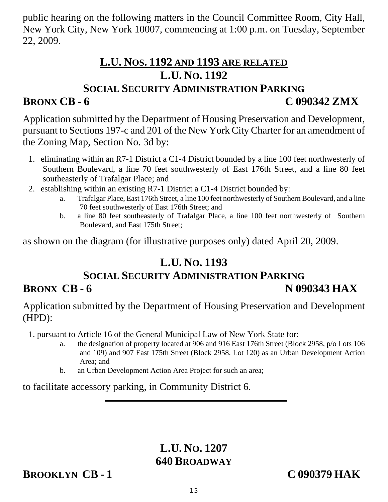public hearing on the following matters in the Council Committee Room, City Hall, New York City, New York 10007, commencing at 1:00 p.m. on Tuesday, September 22, 2009.

## **L.U. NOS. 1192 AND 1193 ARE RELATED L.U. NO. 1192 SOCIAL SECURITY ADMINISTRATION PARKING**

# **BRONX CB - 6 C 090342 ZMX**

Application submitted by the Department of Housing Preservation and Development, pursuant to Sections 197-c and 201 of the New York City Charter for an amendment of the Zoning Map, Section No. 3d by:

- 1. eliminating within an R7-1 District a C1-4 District bounded by a line 100 feet northwesterly of Southern Boulevard, a line 70 feet southwesterly of East 176th Street, and a line 80 feet southeasterly of Trafalgar Place; and
- 2. establishing within an existing R7-1 District a C1-4 District bounded by:
	- a. Trafalgar Place, East 176th Street, a line 100 feet northwesterly of Southern Boulevard, and a line 70 feet southwesterly of East 176th Street; and
	- b. a line 80 feet southeasterly of Trafalgar Place, a line 100 feet northwesterly of Southern Boulevard, and East 175th Street;

as shown on the diagram (for illustrative purposes only) dated April 20, 2009.

# **L.U. NO. 1193**

# **SOCIAL SECURITY ADMINISTRATION PARKING BRONX CB - 6 N 090343 HAX**

Application submitted by the Department of Housing Preservation and Development (HPD):

1. pursuant to Article 16 of the General Municipal Law of New York State for:

- a. the designation of property located at 906 and 916 East 176th Street (Block 2958, p/o Lots 106 and 109) and 907 East 175th Street (Block 2958, Lot 120) as an Urban Development Action Area; and
- b. an Urban Development Action Area Project for such an area;

to facilitate accessory parking, in Community District 6.

# **L.U. NO. 1207 640 BROADWAY**

### **BROOKLYN CB - 1 C 090379 HAK**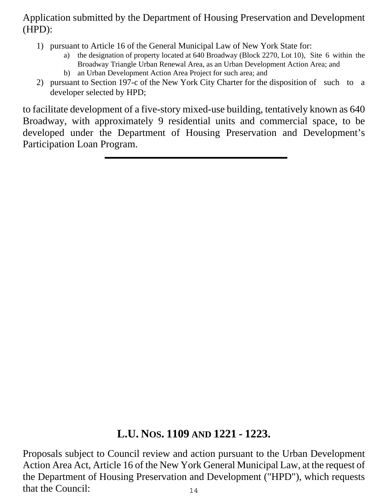#### Application submitted by the Department of Housing Preservation and Development (HPD):

- 1) pursuant to Article 16 of the General Municipal Law of New York State for:
	- a) the designation of property located at 640 Broadway (Block 2270, Lot 10), Site 6 within the Broadway Triangle Urban Renewal Area, as an Urban Development Action Area; and b) an Urban Development Action Area Project for such area; and
- 2) pursuant to Section 197-c of the New York City Charter for the disposition of such to a developer selected by HPD;

to facilitate development of a five-story mixed-use building, tentatively known as 640 Broadway, with approximately 9 residential units and commercial space, to be developed under the Department of Housing Preservation and Development's Participation Loan Program.

#### **L.U. NOS. 1109 AND 1221 - 1223.**

14 Proposals subject to Council review and action pursuant to the Urban Development Action Area Act, Article 16 of the New York General Municipal Law, at the request of the Department of Housing Preservation and Development ("HPD"), which requests that the Council: